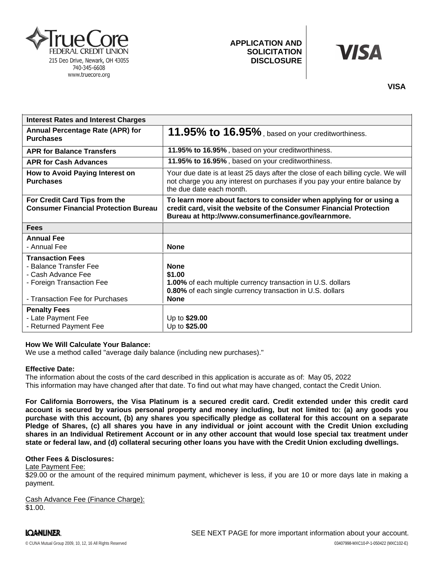

# **APPLICATION AND SOLICITATION DISCLOSURE**

# VISA

| <b>Interest Rates and Interest Charges</b>                                                                                              |                                                                                                                                                                                                    |
|-----------------------------------------------------------------------------------------------------------------------------------------|----------------------------------------------------------------------------------------------------------------------------------------------------------------------------------------------------|
| <b>Annual Percentage Rate (APR) for</b><br><b>Purchases</b>                                                                             | 11.95% to 16.95%, based on your creditworthiness.                                                                                                                                                  |
| <b>APR for Balance Transfers</b>                                                                                                        | 11.95% to 16.95%, based on your creditworthiness.                                                                                                                                                  |
| <b>APR for Cash Advances</b>                                                                                                            | 11.95% to 16.95%, based on your creditworthiness.                                                                                                                                                  |
| How to Avoid Paying Interest on<br><b>Purchases</b>                                                                                     | Your due date is at least 25 days after the close of each billing cycle. We will<br>not charge you any interest on purchases if you pay your entire balance by<br>the due date each month.         |
| For Credit Card Tips from the<br><b>Consumer Financial Protection Bureau</b>                                                            | To learn more about factors to consider when applying for or using a<br>credit card, visit the website of the Consumer Financial Protection<br>Bureau at http://www.consumerfinance.gov/learnmore. |
| <b>Fees</b>                                                                                                                             |                                                                                                                                                                                                    |
| <b>Annual Fee</b>                                                                                                                       |                                                                                                                                                                                                    |
| - Annual Fee                                                                                                                            | <b>None</b>                                                                                                                                                                                        |
| <b>Transaction Fees</b><br>- Balance Transfer Fee<br>- Cash Advance Fee<br>- Foreign Transaction Fee<br>- Transaction Fee for Purchases | <b>None</b><br>\$1.00<br>1.00% of each multiple currency transaction in U.S. dollars<br><b>0.80%</b> of each single currency transaction in U.S. dollars<br><b>None</b>                            |
| <b>Penalty Fees</b><br>- Late Payment Fee<br>- Returned Payment Fee                                                                     | Up to \$29.00<br>Up to \$25.00                                                                                                                                                                     |

## **How We Will Calculate Your Balance:**

We use a method called "average daily balance (including new purchases)."

#### **Effective Date:**

The information about the costs of the card described in this application is accurate as of: May 05, 2022This information may have changed after that date. To find out what may have changed, contact the Credit Union.

For California Borrowers, the Visa Platinum is a secured credit card. Credit extended under this credit card account is secured by various personal property and money including, but not limited to: (a) any goods you purchase with this account, (b) any shares you specifically pledge as collateral for this account on a separate Pledge of Shares, (c) all shares you have in any individual or joint account with the Credit Union excluding shares in an Individual Retirement Account or in any other account that would lose special tax treatment under **state or federal law, and (d) collateral securing other loans you have with the Credit Union excluding dwellings.**

#### **Other Fees & Disclosures:**

Late Payment Fee:

\$29.00 or the amount of the required minimum payment, whichever is less, if you are 10 or more days late in making a payment.

Cash Advance Fee (Finance Charge): \$1.00.